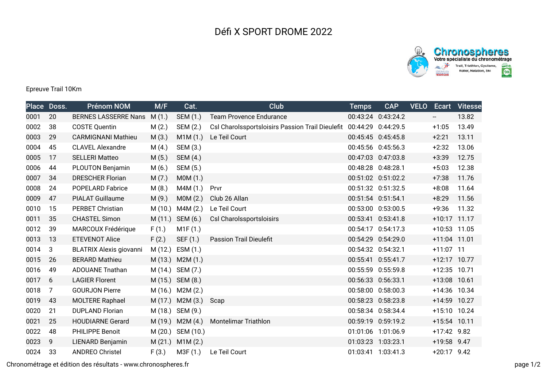## Défi X SPORT DROME 2022



## Epreuve Trail 10Km

|      | Place Doss. | <b>Prénom NOM</b>              | M/F     | Cat.             | Club                                                                | <b>Temps</b> | <b>CAP</b>         | <b>VELO</b> |                          | <b>Ecart Vitesse</b> |
|------|-------------|--------------------------------|---------|------------------|---------------------------------------------------------------------|--------------|--------------------|-------------|--------------------------|----------------------|
| 0001 | 20          | <b>BERNES LASSERRE Nans</b>    | M(1.)   | SEM (1.)         | <b>Team Provence Endurance</b>                                      |              | 00:43:24 0:43:24.2 |             | $\overline{\phantom{a}}$ | 13.82                |
| 0002 | 38          | <b>COSTE Quentin</b>           | M(2.)   | SEM (2.)         | Csl Charolssportsloisirs Passion Trail Dieulefit 00:44:29 0:44:29.5 |              |                    |             | $+1:05$                  | 13.49                |
| 0003 | 29          | <b>CARMIGNANI Mathieu</b>      | M(3.)   | M1M(1.)          | Le Teil Court                                                       |              | 00:45:45 0:45:45.8 |             | $+2:21$                  | 13.11                |
| 0004 | 45          | <b>CLAVEL Alexandre</b>        | M(4.)   | SEM (3.)         |                                                                     |              | 00:45:56 0:45:56.3 |             | $+2:32$                  | 13.06                |
| 0005 | 17          | <b>SELLERI Matteo</b>          | M(5.)   | SEM (4.)         |                                                                     |              | 00:47:03 0:47:03.8 |             | $+3:39$                  | 12.75                |
| 0006 | 44          | <b>PLOUTON Benjamin</b>        | M(6.)   | SEM (5.)         |                                                                     |              | 00:48:28 0:48:28.1 |             | $+5:03$                  | 12.38                |
| 0007 | 34          | <b>DRESCHER Florian</b>        | M(7.)   | M0M (1.)         |                                                                     |              | 00:51:02 0:51:02.2 |             | $+7:38$                  | 11.76                |
| 0008 | 24          | <b>POPELARD Fabrice</b>        | M(8.)   | M4M (1.)         | Prvr                                                                |              | 00:51:32 0:51:32.5 |             | $+8:08$                  | 11.64                |
| 0009 | 47          | PIALAT Guillaume               | M(9.)   | M0M (2.)         | Club 26 Allan                                                       |              | 00:51:54 0:51:54.1 |             | $+8:29$                  | 11.56                |
| 0010 | 15          | <b>PERBET Christian</b>        | M (10.) | M4M (2.)         | Le Teil Court                                                       |              | 00:53:00 0:53:00.5 |             | $+9:36$                  | 11.32                |
| 0011 | 35          | <b>CHASTEL Simon</b>           | M(11.)  | SEM (6.)         | Csl Charolssportsloisirs                                            |              | 00:53:41 0:53:41.8 |             | +10:17 11.17             |                      |
| 0012 | 39          | MARCOUX Frédérique             | F(1.)   | M1F(1.)          |                                                                     |              | 00:54:17 0:54:17.3 |             | +10:53 11.05             |                      |
| 0013 | 13          | <b>ETEVENOT Alice</b>          | F(2.)   | SEF (1.)         | <b>Passion Trail Dieulefit</b>                                      |              | 00:54:29 0:54:29.0 |             | +11:04 11.01             |                      |
| 0014 | 3           | <b>BLATRIX Alexis giovanni</b> | M(12.)  | ESM(1.)          |                                                                     |              | 00:54:32 0:54:32.1 |             | +11:07 11                |                      |
| 0015 | 26          | <b>BERARD Mathieu</b>          | M(13.)  | M2M(1.)          |                                                                     |              | 00:55:41 0:55:41.7 |             | +12:17 10.77             |                      |
| 0016 | 49          | <b>ADOUANE Tnathan</b>         |         | M (14.) SEM (7.) |                                                                     |              | 00:55:59 0:55:59.8 |             | +12:35 10.71             |                      |
| 0017 | 6           | <b>LAGIER Florent</b>          |         | M (15.) SEM (8.) |                                                                     |              | 00:56:33 0:56:33.1 |             | +13:08 10.61             |                      |
| 0018 | 7           | <b>GOURJON Pierre</b>          |         | M (16.) M2M (2.) |                                                                     |              | 00:58:00 0:58:00.3 |             | +14:36 10.34             |                      |
| 0019 | 43          | <b>MOLTERE Raphael</b>         | M (17.) | M2M(3.)          | Scap                                                                |              | 00:58:23 0:58:23.8 |             | +14:59 10.27             |                      |
| 0020 | 21          | <b>DUPLAND Florian</b>         |         | M (18.) SEM (9.) |                                                                     |              | 00:58:34 0:58:34.4 |             | +15:10 10.24             |                      |
| 0021 | 25          | <b>HOUDIARNE Gerard</b>        | M (19.) | M2M(4.)          | Montelimar Triathlon                                                |              | 00:59:19 0:59:19.2 |             | +15:54 10.11             |                      |
| 0022 | 48          | PHILIPPE Benoit                | M (20.) | SEM (10.)        |                                                                     |              | 01:01:06 1:01:06.9 |             | +17:42 9.82              |                      |
| 0023 | 9           | LIENARD Benjamin               | M(21.)  | M1M(2.)          |                                                                     |              | 01:03:23 1:03:23.1 |             | +19:58 9.47              |                      |
| 0024 | 33          | <b>ANDREO Christel</b>         | F(3.)   | M3F (1.)         | Le Teil Court                                                       |              | 01:03:41 1:03:41.3 |             | $+20:17$ 9.42            |                      |

Chronométrage et édition des résultats - www.chronospheres.fr page 1/2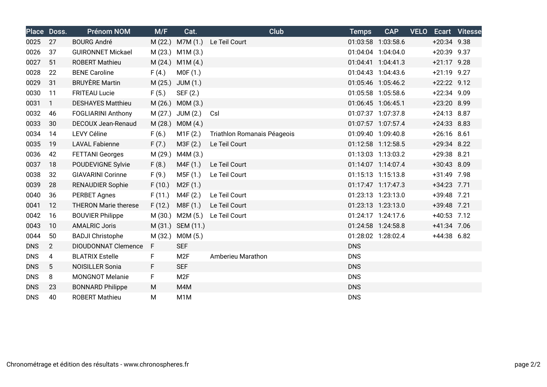|            | Place Doss.    | <b>Prénom NOM</b>           | M/F     | Cat.             | <b>Club</b>                 | <b>Temps</b> | <b>CAP</b>         | <b>VELO</b> |               | Ecart Vitesse |
|------------|----------------|-----------------------------|---------|------------------|-----------------------------|--------------|--------------------|-------------|---------------|---------------|
| 0025       | 27             | <b>BOURG André</b>          | M(22.)  | M7M (1.)         | Le Teil Court               |              | 01:03:58 1:03:58.6 |             | $+20:34$ 9.38 |               |
| 0026       | 37             | <b>GUIRONNET Mickael</b>    |         | M (23.) M1M (3.) |                             |              | 01:04:04 1:04:04.0 |             | $+20:39$ 9.37 |               |
| 0027       | 51             | <b>ROBERT Mathieu</b>       | M(24.)  | M1M(4.)          |                             |              | 01:04:41 1:04:41.3 |             | $+21:17$ 9.28 |               |
| 0028       | 22             | <b>BENE Caroline</b>        | F(4.)   | MOF(1.)          |                             |              | 01:04:43 1:04:43.6 |             | $+21:19$ 9.27 |               |
| 0029       | 31             | <b>BRUYÈRE Martin</b>       | M(25.)  | JUM(1.)          |                             |              | 01:05:46 1:05:46.2 |             | +22:22 9.12   |               |
| 0030       | 11             | <b>FRITEAU Lucie</b>        | F(5.)   | SEF (2.)         |                             |              | 01:05:58 1:05:58.6 |             | $+22:34$ 9.09 |               |
| 0031       | $\mathbf{1}$   | <b>DESHAYES Matthieu</b>    | M(26.)  | MOM(3.)          |                             |              | 01:06:45 1:06:45.1 |             | +23:20 8.99   |               |
| 0032       | 46             | <b>FOGLIARINI Anthony</b>   | M(27.)  | JUM (2.)         | Csl                         |              | 01:07:37 1:07:37.8 |             | $+24:13$ 8.87 |               |
| 0033       | 30             | DECOUX Jean-Renaud          | M(28.)  | MOM(4.)          |                             |              | 01:07:57 1:07:57.4 |             | $+24:33$ 8.83 |               |
| 0034       | 14             | <b>LEVY Céline</b>          | F(6.)   | M1F(2.)          | Triathlon Romanais Péageois |              | 01:09:40 1:09:40.8 |             | $+26:16$ 8.61 |               |
| 0035       | 19             | <b>LAVAL Fabienne</b>       | F(7.)   | M3F (2.)         | Le Teil Court               |              | 01:12:58 1:12:58.5 |             | +29:34 8.22   |               |
| 0036       | 42             | <b>FETTANI Georges</b>      | M (29.) | M4M (3.)         |                             |              | 01:13:03 1:13:03.2 |             | +29:38 8.21   |               |
| 0037       | 18             | POUDEVIGNE Sylvie           | F(8.)   | M4F(1.)          | Le Teil Court               |              | 01:14:07 1:14:07.4 |             | +30:43 8.09   |               |
| 0038       | 32             | <b>GIAVARINI Corinne</b>    | F(9.)   | M5F (1.)         | Le Teil Court               |              | 01:15:13 1:15:13.8 |             | +31:49 7.98   |               |
| 0039       | 28             | <b>RENAUDIER Sophie</b>     | F(10.)  | M2F(1.)          |                             |              | 01:17:47 1:17:47.3 |             | +34:23 7.71   |               |
| 0040       | 36             | <b>PERBET Agnes</b>         | F(11.)  | M4F (2.)         | Le Teil Court               |              | 01:23:13 1:23:13.0 |             | +39:48 7.21   |               |
| 0041       | 12             | <b>THERON Marie therese</b> | F(12.)  | M8F (1.)         | Le Teil Court               |              | 01:23:13 1:23:13.0 |             | +39:48 7.21   |               |
| 0042       | 16             | <b>BOUVIER Philippe</b>     | M (30.) | M2M (5.)         | Le Teil Court               |              | 01:24:17 1:24:17.6 |             | +40:53 7.12   |               |
| 0043       | 10             | <b>AMALRIC Joris</b>        | M(31.)  | SEM (11.)        |                             |              | 01:24:58 1:24:58.8 |             | +41:34 7.06   |               |
| 0044       | 50             | <b>BADJI Christophe</b>     | M (32.) | MOM(5.)          |                             |              | 01:28:02 1:28:02.4 |             | +44:38 6.82   |               |
| <b>DNS</b> | $\overline{2}$ | <b>DIOUDONNAT Clemence</b>  | F.      | <b>SEF</b>       |                             | <b>DNS</b>   |                    |             |               |               |
| <b>DNS</b> | 4              | <b>BLATRIX Estelle</b>      | F       | M <sub>2F</sub>  | Amberieu Marathon           | <b>DNS</b>   |                    |             |               |               |
| <b>DNS</b> | 5              | <b>NOISILLER Sonia</b>      | F.      | <b>SEF</b>       |                             | <b>DNS</b>   |                    |             |               |               |
| <b>DNS</b> | 8              | <b>MONGNOT Melanie</b>      | F.      | M <sub>2F</sub>  |                             | <b>DNS</b>   |                    |             |               |               |
| <b>DNS</b> | 23             | <b>BONNARD Philippe</b>     | М       | M4M              |                             | <b>DNS</b>   |                    |             |               |               |
| <b>DNS</b> | 40             | <b>ROBERT Mathieu</b>       | M       | M <sub>1</sub> M |                             | <b>DNS</b>   |                    |             |               |               |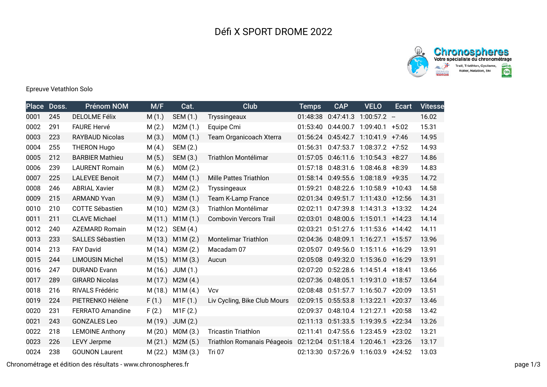

## Epreuve Vetathlon Solo

| <b>Place</b> | Doss. | <b>Prénom NOM</b>       | M/F     | Cat.            | <b>Club</b>                   | <b>Temps</b> | <b>CAP</b>         | <b>VELO</b>                            | Ecart    | <b>Vitesse</b> |
|--------------|-------|-------------------------|---------|-----------------|-------------------------------|--------------|--------------------|----------------------------------------|----------|----------------|
| 0001         | 245   | <b>DELOLME Félix</b>    | M(1.)   | SEM (1.)        | Tryssingeaux                  | 01:48:38     | 0:47:41.3          | $1:00:57.2 -$                          |          | 16.02          |
| 0002         | 291   | <b>FAURE Hervé</b>      | M(2.)   | M2M(1.)         | Equipe Cmi                    | 01:53:40     |                    | 0:44:00.7 1:09:40.1 +5:02              |          | 15.31          |
| 0003         | 223   | <b>RAYBAUD Nicolas</b>  | M(3.)   | M0M (1.)        | Team Organicoach Xterra       |              |                    | 01:56:24 0:45:42.7 1:10:41.9           | $+7:46$  | 14.95          |
| 0004         | 255   | <b>THERON Hugo</b>      | M(4.)   | SEM (2.)        |                               | 01:56:31     |                    | $0:47:53.7$ 1:08:37.2 +7:52            |          | 14.93          |
| 0005         | 212   | <b>BARBIER Mathieu</b>  | M(5.)   | SEM (3.)        | Triathlon Montélimar          |              |                    | 01:57:05  0:46:11.6  1:10:54.3  +8:27  |          | 14.86          |
| 0006         | 239   | <b>LAURENT Romain</b>   | M(6.)   | MOM(2.)         |                               | 01:57:18     |                    | 0:48:31.6 1:08:46.8                    | $+8:39$  | 14.83          |
| 0007         | 225   | <b>LALEVEE Benoit</b>   | M(7.)   | M4M(1.)         | <b>Mille Pattes Triathlon</b> |              |                    | 01:58:14 0:49:55.6 1:08:18.9 +9:35     |          | 14.72          |
| 0008         | 246   | <b>ABRIAL Xavier</b>    | M(8.)   | M2M(2.)         | Tryssingeaux                  | 01:59:21     |                    | 0:48:22.6 1:10:58.9 +10:43             |          | 14.58          |
| 0009         | 215   | <b>ARMAND Yvan</b>      | M(9.)   | M3M(1.)         | <b>Team K-Lamp France</b>     |              |                    | 02:01:34  0:49:51.7  1:11:43.0  +12:56 |          | 14.31          |
| 0010         | 210   | <b>COTTE Sébastien</b>  | M(10.)  | M2M(3.)         | Triathlon Montélimar          | 02:02:11     |                    | 0:47:39.8 1:14:31.3 +13:32             |          | 14.24          |
| 0011         | 211   | <b>CLAVE Michael</b>    | M(11.)  | M1M(1.)         | <b>Combovin Vercors Trail</b> | 02:03:01     |                    | 0:48:00.6 1:15:01.1 +14:23             |          | 14.14          |
| 0012         | 240   | <b>AZEMARD Romain</b>   | M(12.)  | SEM (4.)        |                               | 02:03:21     |                    | 0:51:27.6 1:11:53.6 +14:42             |          | 14.11          |
| 0013         | 233   | <b>SALLES Sébastien</b> | M (13.) | M1M(2.)         | <b>Montelimar Triathlon</b>   |              |                    | 02:04:36  0:48:09.1  1:16:27.1  +15:57 |          | 13.96          |
| 0014         | 213   | <b>FAY David</b>        | M (14.) | M3M (2.)        | Macadam 07                    | 02:05:07     |                    | 0:49:56.0 1:15:11.6 +16:29             |          | 13.91          |
| 0015         | 244   | <b>LIMOUSIN Michel</b>  | M(15.)  | M1M(3.)         | Aucun                         |              |                    | 02:05:08  0:49:32.0  1:15:36.0  +16:29 |          | 13.91          |
| 0016         | 247   | <b>DURAND Evann</b>     | M (16.) | JUM(1.)         |                               |              |                    | 02:07:20 0:52:28.6 1:14:51.4 +18:41    |          | 13.66          |
| 0017         | 289   | <b>GIRARD Nicolas</b>   | M(17.)  | M2M(4.)         |                               |              | 02:07:36 0:48:05.1 | 1:19:31.0 +18:57                       |          | 13.64          |
| 0018         | 216   | RIVALS Frédéric         | M (18.) | M1M(4.)         | Vcv                           |              |                    | 02:08:48  0:51:57.7  1:16:50.7  +20:09 |          | 13.51          |
| 0019         | 224   | PIETRENKO Hélène        | F(1.)   | M1F(1.)         | Liv Cycling, Bike Club Mours  |              |                    | 02:09:15 0:55:53.8 1:13:22.1           | $+20:37$ | 13.46          |
| 0020         | 231   | <b>FERRATO Amandine</b> | F(2.)   | M1F(2.)         |                               |              |                    | 02:09:37  0:48:10.4  1:21:27.1  +20:58 |          | 13.42          |
| 0021         | 243   | <b>GONZALES Leo</b>     | M (19.) | <b>JUM (2.)</b> |                               |              |                    | 02:11:13  0:51:33.5  1:19:39.5  +22:34 |          | 13.26          |
| 0022         | 218   | <b>LEMOINE Anthony</b>  | M(20.)  | MOM(3.)         | <b>Tricastin Triathlon</b>    | 02:11:41     |                    | 0:47:55.6 1:23:45.9 +23:02             |          | 13.21          |
| 0023         | 226   | <b>LEVY Jerpme</b>      | M(21.)  | M2M(5.)         | Triathlon Romanais Péageois   |              |                    | 02:12:04  0:51:18.4  1:20:46.1  +23:26 |          | 13.17          |
| 0024         | 238   | <b>GOUNON Laurent</b>   | M(22.)  | M3M (3.)        | Tri 07                        |              |                    | 02:13:30  0:57:26.9  1:16:03.9  +24:52 |          | 13.03          |

Chronométrage et édition des résultats - www.chronospheres.fr page 1/3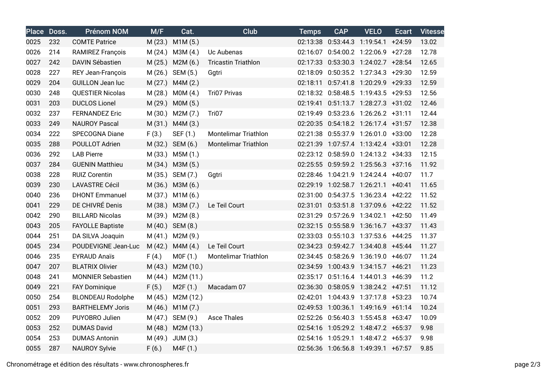|      | Place Doss. | <b>Prénom NOM</b>        | M/F     | Cat.             | Club                        | <b>Temps</b> | <b>CAP</b> | <b>VELO</b>                            | <b>Ecart</b> | <b>Vitesse</b> |
|------|-------------|--------------------------|---------|------------------|-----------------------------|--------------|------------|----------------------------------------|--------------|----------------|
| 0025 | 232         | <b>COMTE Patrice</b>     | M(23.)  | M1M(5.)          |                             |              |            | 02:13:38  0:53:44.3  1:19:54.1  +24:59 |              | 13.02          |
| 0026 | 214         | <b>RAMIREZ François</b>  | M (24.) | M3M (4.)         | Uc Aubenas                  |              |            | 02:16:07  0:54:00.2  1:22:06.9  +27:28 |              | 12.78          |
| 0027 | 242         | <b>DAVIN Sébastien</b>   | M(25.)  | M2M(6.)          | <b>Tricastin Triathlon</b>  |              |            | 02:17:33  0:53:30.3  1:24:02.7  +28:54 |              | 12.65          |
| 0028 | 227         | <b>REY Jean-François</b> |         | M (26.) SEM (5.) | Ggtri                       |              |            | 02:18:09  0:50:35.2  1:27:34.3  +29:30 |              | 12.59          |
| 0029 | 204         | <b>GUILLON Jean luc</b>  | M(27.)  | M4M(2.)          |                             |              |            | 02:18:11  0:57:41.8  1:20:29.9  +29:33 |              | 12.59          |
| 0030 | 248         | <b>QUESTIER Nicolas</b>  | M (28.) | MOM(4.)          | <b>Tri07 Privas</b>         |              |            | 02:18:32  0:58:48.5  1:19:43.5  +29:53 |              | 12.56          |
| 0031 | 203         | <b>DUCLOS Lionel</b>     |         | M (29.) M0M (5.) |                             |              |            | 02:19:41  0:51:13.7  1:28:27.3  +31:02 |              | 12.46          |
| 0032 | 237         | <b>FERNANDEZ Eric</b>    | M (30.) | M2M(7.)          | Tri07                       |              |            | 02:19:49  0:53:23.6  1:26:26.2  +31:11 |              | 12.44          |
| 0033 | 249         | <b>NAUROY Pascal</b>     | M(31.)  | M4M(3.)          |                             |              |            | 02:20:35 0:54:18.2 1:26:17.4 +31:57    |              | 12.38          |
| 0034 | 222         | <b>SPECOGNA Diane</b>    | F(3.)   | SEF (1.)         | <b>Montelimar Triathlon</b> |              |            | 02:21:38  0:55:37.9  1:26:01.0  +33:00 |              | 12.28          |
| 0035 | 288         | POULLOT Adrien           |         | M (32.) SEM (6.) | <b>Montelimar Triathlon</b> |              |            | 02:21:39 1:07:57.4 1:13:42.4 +33:01    |              | 12.28          |
| 0036 | 292         | <b>LAB Pierre</b>        |         | M (33.) M5M (1.) |                             |              |            | 02:23:12 0:58:59.0 1:24:13.2 +34:33    |              | 12.15          |
| 0037 | 284         | <b>GUENIN Matthieu</b>   |         | M (34.) M3M (5.) |                             |              |            | 02:25:55 0:59:59.2 1:25:56.3 +37:16    |              | 11.92          |
| 0038 | 228         | <b>RUIZ Corentin</b>     | M (35.) | SEM (7.)         | Ggtri                       |              |            | 02:28:46 1:04:21.9 1:24:24.4 +40:07    |              | 11.7           |
| 0039 | 230         | <b>LAVASTRE Cécil</b>    | M (36.) | M3M (6.)         |                             |              |            | 02:29:19 1:02:58.7 1:26:21.1 +40:41    |              | 11.65          |
| 0040 | 236         | <b>DHONT Emmanuel</b>    |         | M (37.) M1M (6.) |                             |              |            | 02:31:00  0:54:37.5  1:36:23.4  +42:22 |              | 11.52          |
| 0041 | 229         | DE CHIVRÉ Denis          |         | M (38.) M3M (7.) | Le Teil Court               |              |            | 02:31:01  0:53:51.8  1:37:09.6  +42:22 |              | 11.52          |
| 0042 | 290         | <b>BILLARD Nicolas</b>   |         | M (39.) M2M (8.) |                             |              |            | 02:31:29  0:57:26.9  1:34:02.1  +42:50 |              | 11.49          |
| 0043 | 205         | <b>FAYOLLE Baptiste</b>  |         | M (40.) SEM (8.) |                             |              |            | 02:32:15 0:55:58.9 1:36:16.7 +43:37    |              | 11.43          |
| 0044 | 251         | DA SILVA Joaquin         | M(41.)  | M2M (9.)         |                             |              |            | 02:33:03  0:55:10.3  1:37:53.6  +44:25 |              | 11.37          |
| 0045 | 234         | POUDEVIGNE Jean-Luc      | M(42.)  | M4M (4.)         | Le Teil Court               |              |            | 02:34:23  0:59:42.7  1:34:40.8  +45:44 |              | 11.27          |
| 0046 | 235         | <b>EYRAUD Anaïs</b>      | F(4.)   | MOF(1.)          | <b>Montelimar Triathlon</b> |              |            | 02:34:45  0:58:26.9  1:36:19.0  +46:07 |              | 11.24          |
| 0047 | 207         | <b>BLATRIX Olivier</b>   | M (43.) | M2M (10.)        |                             |              |            | 02:34:59 1:00:43.9 1:34:15.7 +46:21    |              | 11.23          |
| 0048 | 241         | <b>MONNIER Sebastien</b> | M (44.) | M2M (11.)        |                             |              |            | 02:35:17  0:51:16.4  1:44:01.3  +46:39 |              | 11.2           |
| 0049 | 221         | <b>FAY Dominique</b>     | F(5.)   | M2F(1.)          | Macadam 07                  |              |            | 02:36:30  0:58:05.9  1:38:24.2  +47:51 |              | 11.12          |
| 0050 | 254         | <b>BLONDEAU Rodolphe</b> | M (45.) | M2M (12.)        |                             |              |            | 02:42:01 1:04:43.9 1:37:17.8 +53:23    |              | 10.74          |
| 0051 | 293         | <b>BARTHELEMY Joris</b>  | M(46.)  | M1M(7.)          |                             |              |            | 02:49:53 1:00:36.1 1:49:16.9 +61:14    |              | 10.24          |
| 0052 | 209         | PUYOBRO Julien           |         | M (47.) SEM (9.) | <b>Asce Thales</b>          |              |            | 02:52:26 0:56:40.3 1:55:45.8 +63:47    |              | 10.09          |
| 0053 | 252         | <b>DUMAS David</b>       | M (48.) | M2M (13.)        |                             |              |            | 02:54:16 1:05:29.2 1:48:47.2 +65:37    |              | 9.98           |
| 0054 | 253         | <b>DUMAS Antonin</b>     | M (49.) | JUM(3.)          |                             |              |            | 02:54:16 1:05:29.1 1:48:47.2 +65:37    |              | 9.98           |
| 0055 | 287         | <b>NAUROY Sylvie</b>     | F(6.)   | M4F (1.)         |                             |              |            | 02:56:36 1:06:56.8 1:49:39.1 +67:57    |              | 9.85           |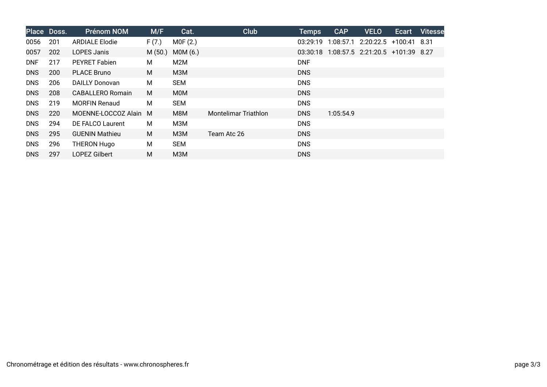|            | Place Doss. | <b>Prénom NOM</b>     | M/F    | Cat.       | Club                 | <b>Temps</b> | <b>CAP</b> | <b>VELO</b>                      | Ecart | <b>Vitesse</b> |
|------------|-------------|-----------------------|--------|------------|----------------------|--------------|------------|----------------------------------|-------|----------------|
| 0056       | 201         | <b>ARDIALE Elodie</b> | F(7.)  | MOF(2.)    |                      | 03:29:19     |            | 1:08:57.1 2:20:22.5 +100:41      |       | - 8.31         |
| 0057       | 202         | LOPES Janis           | M(50.) | MOM(6.)    |                      | 03:30:18     |            | 1:08:57.5 2:21:20.5 +101:39 8.27 |       |                |
| <b>DNF</b> | 217         | <b>PEYRET Fabien</b>  | М      | M2M        |                      | <b>DNF</b>   |            |                                  |       |                |
| <b>DNS</b> | 200         | <b>PLACE Bruno</b>    | M      | МЗМ        |                      | <b>DNS</b>   |            |                                  |       |                |
| <b>DNS</b> | 206         | <b>DAILLY Donovan</b> | М      | <b>SEM</b> |                      | <b>DNS</b>   |            |                                  |       |                |
| <b>DNS</b> | 208         | CABALLERO Romain      | M      | <b>MOM</b> |                      | <b>DNS</b>   |            |                                  |       |                |
| <b>DNS</b> | 219         | <b>MORFIN Renaud</b>  | М      | <b>SEM</b> |                      | <b>DNS</b>   |            |                                  |       |                |
| <b>DNS</b> | 220         | MOENNE-LOCCOZ Alain M |        | M8M        | Montelimar Triathlon | <b>DNS</b>   | 1:05:54.9  |                                  |       |                |
| <b>DNS</b> | 294         | DE FALCO Laurent      | М      | МЗМ        |                      | <b>DNS</b>   |            |                                  |       |                |
| <b>DNS</b> | 295         | <b>GUENIN Mathieu</b> | M      | МЗМ        | Team Atc 26          | <b>DNS</b>   |            |                                  |       |                |
| <b>DNS</b> | 296         | THERON Hugo           | М      | <b>SEM</b> |                      | <b>DNS</b>   |            |                                  |       |                |
| <b>DNS</b> | 297         | LOPEZ Gilbert         | Μ      | M3M        |                      | <b>DNS</b>   |            |                                  |       |                |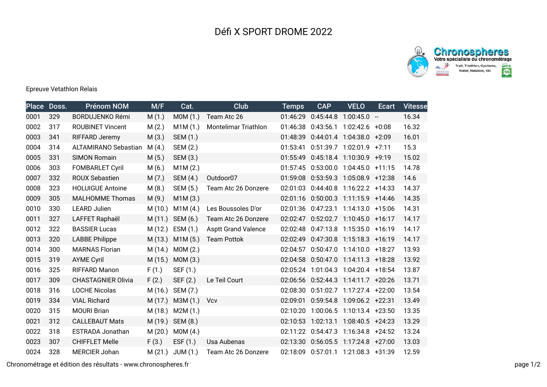



## Epreuve Vetathlon Relais

| <b>Place</b> | Doss. | <b>Prénom NOM</b>           | M/F     | Cat.       | Club                       | <b>Temps</b> | <b>CAP</b>          | <b>VELO</b>                            | Ecart                    | <b>Vitesse</b> |
|--------------|-------|-----------------------------|---------|------------|----------------------------|--------------|---------------------|----------------------------------------|--------------------------|----------------|
| 0001         | 329   | <b>BORDUJENKO Rémi</b>      | M(1.)   | MOM(1.)    | Team Atc 26                | 01:46:29     | 0:45:44.8           | 1:00:45.0                              | $\overline{\phantom{a}}$ | 16.34          |
| 0002         | 317   | <b>ROUBINET Vincent</b>     | M(2.)   | M1M(1.)    | Montelimar Triathlon       | 01:46:38     | 0:43:56.1           | $1:02:42.6$ +0:08                      |                          | 16.32          |
| 0003         | 341   | RIFFARD Jeremy              | M(3.)   | SEM (1.)   |                            | 01:48:39     | 0:44:01.4 1:04:38.0 |                                        | $+2:09$                  | 16.01          |
| 0004         | 314   | <b>ALTAMIRANO Sebastian</b> | M(4.)   | SEM (2.)   |                            | 01:53:41     |                     | 0:51:39.7 1:02:01.9                    | $+7:11$                  | 15.3           |
| 0005         | 331   | <b>SIMON Romain</b>         | M(5.)   | SEM (3.)   |                            | 01:55:49     |                     | $0:45:18.4$ 1:10:30.9 +9:19            |                          | 15.02          |
| 0006         | 303   | <b>FOMBARLET Cyril</b>      | M(6.)   | M1M(2.)    |                            |              | 01:57:45 0:53:00.0  | $1:04:45.0 +11:15$                     |                          | 14.78          |
| 0007         | 332   | <b>ROUX Sebastien</b>       | M(7.)   | SEM (4.)   | Outdoor07                  | 01:59:08     | 0:53:59.3           | 1:05:08.9 +12:38                       |                          | 14.6           |
| 0008         | 323   | <b>HOLUIGUE Antoine</b>     | M(8.)   | SEM (5.)   | Team Atc 26 Donzere        | 02:01:03     | 0:44:40.8           | 1:16:22.2 +14:33                       |                          | 14.37          |
| 0009         | 305   | <b>MALHOMME Thomas</b>      | M(9.)   | M1M(3.)    |                            | 02:01:16     | 0:50:00.3           | 1:11:15.9 +14:46                       |                          | 14.35          |
| 0010         | 330   | <b>LEARD Julien</b>         | M(10.)  | M1M(4.)    | Les Boussoles D'or         | 02:01:36     | 0:47:23.1           | $1:14:13.0 + 15:06$                    |                          | 14.31          |
| 0011         | 327   | LAFFET Raphaël              | M(11.)  | SEM (6.)   | Team Atc 26 Donzere        | 02:02:47     | 0:52:02.7           | $1:10:45.0$ +16:17                     |                          | 14.17          |
| 0012         | 322   | <b>BASSIER Lucas</b>        | M(12.)  | ESM (1.)   | <b>Asptt Grand Valence</b> | 02:02:48     | 0:47:13.8           | $1:15:35.0 + 16:19$                    |                          | 14.17          |
| 0013         | 320   | <b>LABBE Philippe</b>       | M (13.) | M1M(5.)    | <b>Team Pottok</b>         | 02:02:49     |                     | 0:47:30.8 1:15:18.3 +16:19             |                          | 14.17          |
| 0014         | 300   | <b>MARNAS Florian</b>       | M(14.)  | MOM(2.)    |                            | 02:04:57     | 0:50:47.0           | 1:14:10.0 +18:27                       |                          | 13.93          |
| 0015         | 319   | <b>AYME Cyril</b>           | M(15.)  | MOM(3.)    |                            |              |                     | 02:04:58  0:50:47.0  1:14:11.3  +18:28 |                          | 13.92          |
| 0016         | 325   | RIFFARD Manon               | F(1.)   | SEF (1.)   |                            |              |                     | 02:05:24 1:01:04.3 1:04:20.4 +18:54    |                          | 13.87          |
| 0017         | 309   | <b>CHASTAGNIER Olivia</b>   | F(2.)   | SEF (2.)   | Le Teil Court              |              |                     | 02:06:56 0:52:44.3 1:14:11.7 +20:26    |                          | 13.71          |
| 0018         | 316   | <b>LOCHE Nicolas</b>        | M(16.)  | SEM (7.)   |                            | 02:08:30     |                     | 0:51:02.7 1:17:27.4 +22:00             |                          | 13.54          |
| 0019         | 334   | <b>VIAL Richard</b>         | M(17.)  | M3M (1.)   | <b>V<sub>cv</sub></b>      | 02:09:01     |                     | 0:59:54.8 1:09:06.2 +22:31             |                          | 13.49          |
| 0020         | 315   | <b>MOURI Brian</b>          | M(18.)  | M2M(1.)    |                            | 02:10:20     | 1:00:06.5           | $1:10:13.4$ +23:50                     |                          | 13.35          |
| 0021         | 312   | <b>CALLEBAUT Mats</b>       | M (19.) | SEM (8.)   |                            |              | 02:10:53 1:02:13.1  | $1:08:40.5$ +24:23                     |                          | 13.29          |
| 0022         | 318   | ESTRADA Jonathan            | M(20.)  | MOM(4.)    |                            |              | 02:11:22 0:54:47.3  | $1:16:34.8$ +24:52                     |                          | 13.24          |
| 0023         | 307   | <b>CHIFFLET Melle</b>       | F(3.)   | ESF $(1.)$ | Usa Aubenas                |              |                     | 02:13:30  0:56:05.5  1:17:24.8  +27:00 |                          | 13.03          |
| 0024         | 328   | <b>MERCIER Johan</b>        | M(21.)  | JUM(1.)    | Team Atc 26 Donzere        |              |                     | 02:18:09  0:57:01.1  1:21:08.3  +31:39 |                          | 12.59          |

Chronométrage et édition des résultats - www.chronospheres.fr page 1/2